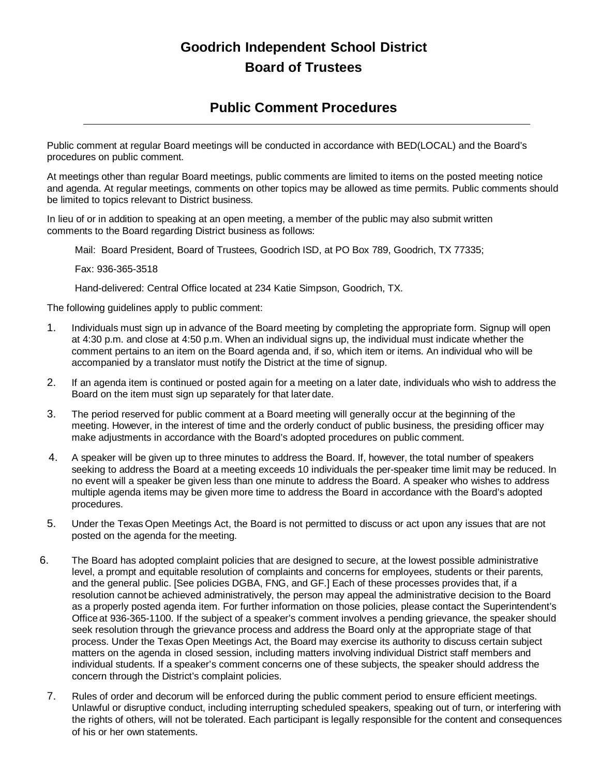## **Goodrich Independent School District Board of Trustees**

## **Public Comment Procedures**

Public comment at regular Board meetings will be conducted in accordance with BED(LOCAL) and the Board's procedures on public comment.

At meetings other than regular Board meetings, public comments are limited to items on the posted meeting notice and agenda. At regular meetings, comments on other topics may be allowed as time permits. Public comments should be limited to topics relevant to District business.

In lieu of or in addition to speaking at an open meeting, a member of the public may also submit written comments to the Board regarding District business as follows:

Mail: Board President, Board of Trustees, Goodrich ISD, at PO Box 789, Goodrich, TX 77335;

Fax: 936-365-3518

Hand-delivered: Central Office located at 234 Katie Simpson, Goodrich, TX.

The following guidelines apply to public comment:

- 1. Individuals must sign up in advance of the Board meeting by completing the appropriate form. Signup will open at 4:30 p.m. and close at 4:50 p.m. When an individual signs up, the individual must indicate whether the comment pertains to an item on the Board agenda and, if so, which item or items. An individual who will be accompanied by a translator must notify the District at the time of signup.
- 2. If an agenda item is continued or posted again for a meeting on a later date, individuals who wish to address the Board on the item must sign up separately for that later date.
- 3. The period reserved for public comment at a Board meeting will generally occur at the beginning of the meeting. However, in the interest of time and the orderly conduct of public business, the presiding officer may make adjustments in accordance with the Board's adopted procedures on public comment.
- 4. A speaker will be given up to three minutes to address the Board. If, however, the total number of speakers seeking to address the Board at a meeting exceeds 10 individuals the per-speaker time limit may be reduced. In no event will a speaker be given less than one minute to address the Board. A speaker who wishes to address multiple agenda items may be given more time to address the Board in accordance with the Board's adopted procedures.
- 5. Under the Texas Open Meetings Act, the Board is not permitted to discuss or act upon any issues that are not posted on the agenda for the meeting.
- 6. The Board has adopted complaint policies that are designed to secure, at the lowest possible administrative level, a prompt and equitable resolution of complaints and concerns for employees, students or their parents, and the general public. [See policies DGBA, FNG, and GF.] Each of these processes provides that, if a resolution cannot be achieved administratively, the person may appeal the administrative decision to the Board as a properly posted agenda item. For further information on those policies, please contact the Superintendent's Officeat 936-365-1100. If the subject of a speaker's comment involves a pending grievance, the speaker should seek resolution through the grievance process and address the Board only at the appropriate stage of that process. Under the Texas Open Meetings Act, the Board may exercise its authority to discuss certain subject matters on the agenda in closed session, including matters involving individual District staff members and individual students. If a speaker's comment concerns one of these subjects, the speaker should address the concern through the District's complaint policies.
- 7. Rules of order and decorum will be enforced during the public comment period to ensure efficient meetings. Unlawful or disruptive conduct, including interrupting scheduled speakers, speaking out of turn, or interfering with the rights of others, will not be tolerated. Each participant is legally responsible for the content and consequences of his or her own statements.